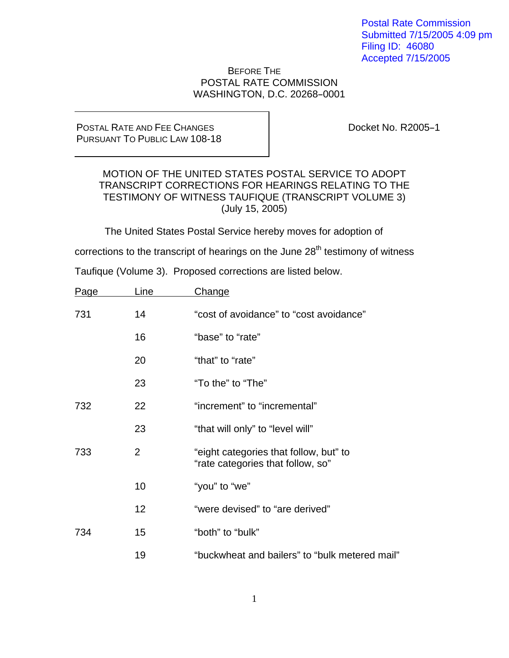Postal Rate Commission Submitted 7/15/2005 4:09 pm Filing ID: 46080 Accepted 7/15/2005

#### BEFORE THE POSTAL RATE COMMISSION WASHINGTON, D.C. 20268-0001

#### POSTAL RATE AND FEE CHANGES PURSUANT TO PUBLIC LAW 108-18

Docket No. R2005-1

#### MOTION OF THE UNITED STATES POSTAL SERVICE TO ADOPT TRANSCRIPT CORRECTIONS FOR HEARINGS RELATING TO THE TESTIMONY OF WITNESS TAUFIQUE (TRANSCRIPT VOLUME 3) (July 15, 2005)

The United States Postal Service hereby moves for adoption of

corrections to the transcript of hearings on the June  $28<sup>th</sup>$  testimony of witness

Taufique (Volume 3). Proposed corrections are listed below.

| Page | Line           | Change                                                                      |
|------|----------------|-----------------------------------------------------------------------------|
| 731  | 14             | "cost of avoidance" to "cost avoidance"                                     |
|      | 16             | "base" to "rate"                                                            |
|      | 20             | "that" to "rate"                                                            |
|      | 23             | "To the" to "The"                                                           |
| 732  | 22             | "increment" to "incremental"                                                |
|      | 23             | "that will only" to "level will"                                            |
| 733  | $\overline{2}$ | "eight categories that follow, but" to<br>"rate categories that follow, so" |
|      | 10             | "you" to "we"                                                               |
|      | 12             | "were devised" to "are derived"                                             |
| 734  | 15             | "both" to "bulk"                                                            |
|      | 19             | "buckwheat and bailers" to "bulk metered mail"                              |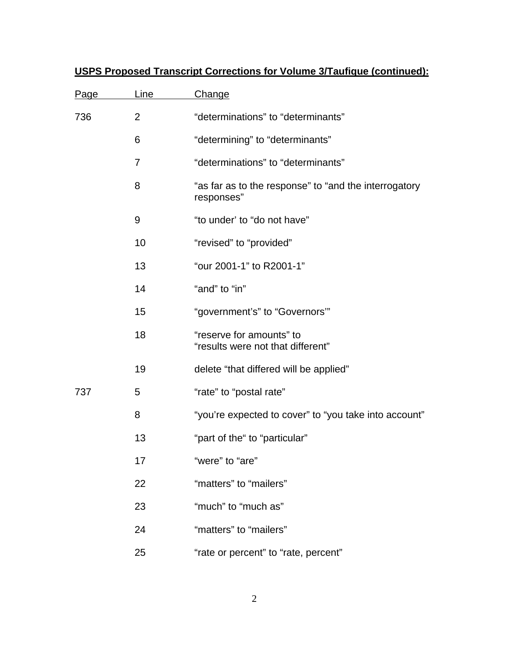| Page | Line           | <b>Change</b>                                                       |
|------|----------------|---------------------------------------------------------------------|
| 736  | 2              | "determinations" to "determinants"                                  |
|      | 6              | "determining" to "determinants"                                     |
|      | $\overline{7}$ | "determinations" to "determinants"                                  |
|      | 8              | "as far as to the response" to "and the interrogatory<br>responses" |
|      | 9              | "to under' to "do not have"                                         |
|      | 10             | "revised" to "provided"                                             |
|      | 13             | "our 2001-1" to R2001-1"                                            |
|      | 14             | "and" to "in"                                                       |
|      | 15             | "government's" to "Governors""                                      |
|      | 18             | "reserve for amounts" to<br>"results were not that different"       |
|      | 19             | delete "that differed will be applied"                              |
| 737  | 5              | "rate" to "postal rate"                                             |
|      | 8              | "you're expected to cover" to "you take into account"               |
|      | 13             | "part of the" to "particular"                                       |
|      | 17             | "were" to "are"                                                     |
|      | 22             | "matters" to "mailers"                                              |
|      | 23             | "much" to "much as"                                                 |
|      | 24             | "matters" to "mailers"                                              |
|      | 25             | "rate or percent" to "rate, percent"                                |

# **USPS Proposed Transcript Corrections for Volume 3/Taufique (continued):**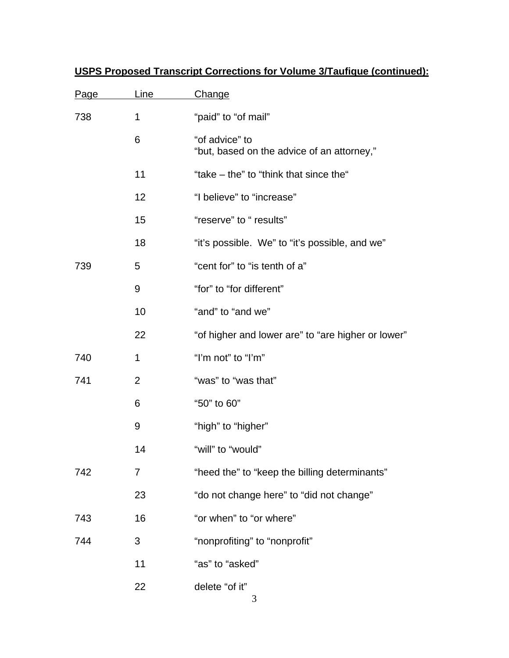| Page | <u>Line</u>    | <b>Change</b>                                                |
|------|----------------|--------------------------------------------------------------|
| 738  | 1              | "paid" to "of mail"                                          |
|      | 6              | "of advice" to<br>"but, based on the advice of an attorney," |
|      | 11             | "take – the" to "think that since the"                       |
|      | 12             | "I believe" to "increase"                                    |
|      | 15             | "reserve" to " results"                                      |
|      | 18             | "it's possible. We" to "it's possible, and we"               |
| 739  | 5              | "cent for" to "is tenth of a"                                |
|      | 9              | "for" to "for different"                                     |
|      | 10             | "and" to "and we"                                            |
|      | 22             | "of higher and lower are" to "are higher or lower"           |
| 740  | 1              | "I'm not" to "I'm"                                           |
| 741  | $\overline{2}$ | "was" to "was that"                                          |
|      | 6              | "50" to 60"                                                  |
|      | 9              | "high" to "higher"                                           |
|      | 14             | "will" to "would"                                            |
| 742  | 7              | "heed the" to "keep the billing determinants"                |
|      | 23             | "do not change here" to "did not change"                     |
| 743  | 16             | "or when" to "or where"                                      |
| 744  | 3              | "nonprofiting" to "nonprofit"                                |
|      | 11             | "as" to "asked"                                              |
|      | 22             | delete "of it"<br>3                                          |

# **USPS Proposed Transcript Corrections for Volume 3/Taufique (continued):**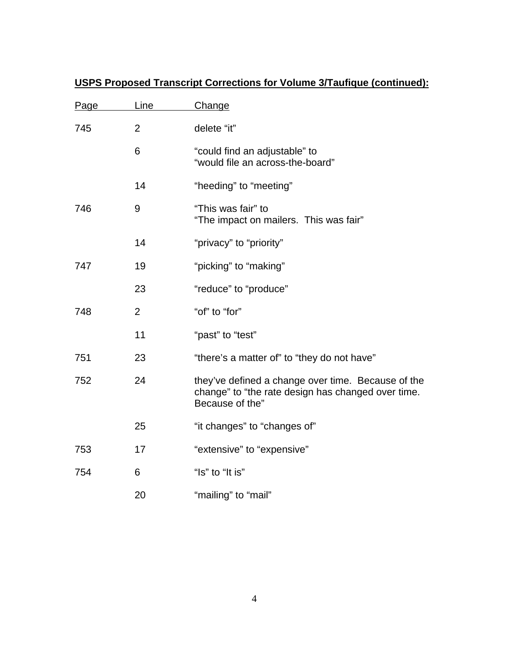| Page | Line           | Change                                                                                                                      |
|------|----------------|-----------------------------------------------------------------------------------------------------------------------------|
| 745  | $\overline{2}$ | delete "it"                                                                                                                 |
|      | 6              | "could find an adjustable" to<br>"would file an across-the-board"                                                           |
|      | 14             | "heeding" to "meeting"                                                                                                      |
| 746  | 9              | "This was fair" to<br>"The impact on mailers. This was fair"                                                                |
|      | 14             | "privacy" to "priority"                                                                                                     |
| 747  | 19             | "picking" to "making"                                                                                                       |
|      | 23             | "reduce" to "produce"                                                                                                       |
| 748  | $\overline{2}$ | "of" to "for"                                                                                                               |
|      | 11             | "past" to "test"                                                                                                            |
| 751  | 23             | "there's a matter of" to "they do not have"                                                                                 |
| 752  | 24             | they've defined a change over time. Because of the<br>change" to "the rate design has changed over time.<br>Because of the" |
|      | 25             | "it changes" to "changes of"                                                                                                |
| 753  | 17             | "extensive" to "expensive"                                                                                                  |
| 754  | 6              | "Is" to "It is"                                                                                                             |
|      | 20             | "mailing" to "mail"                                                                                                         |

# **USPS Proposed Transcript Corrections for Volume 3/Taufique (continued):**